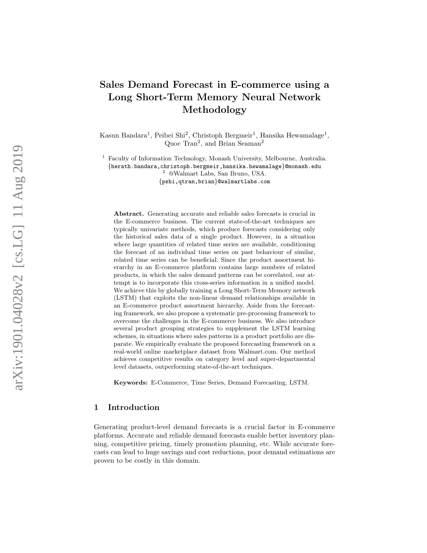# Sales Demand Forecast in E-commerce using a Long Short-Term Memory Neural Network Methodology

Kasun Bandara<sup>1</sup>, Peibei Shi<sup>2</sup>, Christoph Bergmeir<sup>1</sup>, Hansika Hewamalage<sup>1</sup>, Quoc Tran<sup>2</sup>, and Brian Seaman<sup>2</sup>

<sup>1</sup> Faculty of Information Technology, Monash University, Melbourne, Australia. {herath.bandara,christoph.bergmeir,hansika.hewamalage}@monash.edu <sup>2</sup> @Walmart Labs, San Bruno, USA. {pshi,qtran,brian}@walmartlabs.com

Abstract. Generating accurate and reliable sales forecasts is crucial in the E-commerce business. The current state-of-the-art techniques are typically univariate methods, which produce forecasts considering only the historical sales data of a single product. However, in a situation where large quantities of related time series are available, conditioning the forecast of an individual time series on past behaviour of similar, related time series can be beneficial. Since the product assortment hierarchy in an E-commerce platform contains large numbers of related products, in which the sales demand patterns can be correlated, our attempt is to incorporate this cross-series information in a unified model. We achieve this by globally training a Long Short-Term Memory network (LSTM) that exploits the non-linear demand relationships available in an E-commerce product assortment hierarchy. Aside from the forecasting framework, we also propose a systematic pre-processing framework to overcome the challenges in the E-commerce business. We also introduce several product grouping strategies to supplement the LSTM learning schemes, in situations where sales patterns in a product portfolio are disparate. We empirically evaluate the proposed forecasting framework on a real-world online marketplace dataset from Walmart.com. Our method achieves competitive results on category level and super-departmental level datasets, outperforming state-of-the-art techniques.

Keywords: E-Commerce, Time Series, Demand Forecasting, LSTM.

# <span id="page-0-0"></span>1 Introduction

Generating product-level demand forecasts is a crucial factor in E-commerce platforms. Accurate and reliable demand forecasts enable better inventory planning, competitive pricing, timely promotion planning, etc. While accurate forecasts can lead to huge savings and cost reductions, poor demand estimations are proven to be costly in this domain.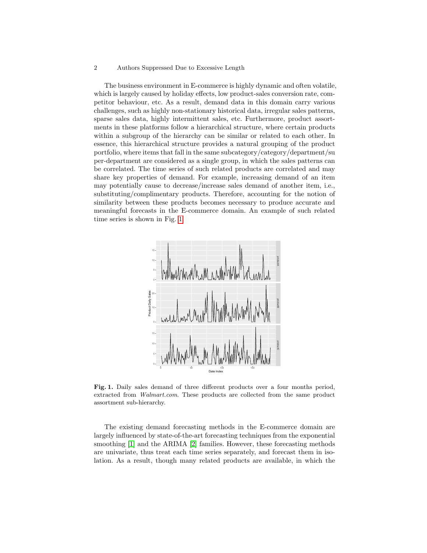The business environment in E-commerce is highly dynamic and often volatile, which is largely caused by holiday effects, low product-sales conversion rate, competitor behaviour, etc. As a result, demand data in this domain carry various challenges, such as highly non-stationary historical data, irregular sales patterns, sparse sales data, highly intermittent sales, etc. Furthermore, product assortments in these platforms follow a hierarchical structure, where certain products within a subgroup of the hierarchy can be similar or related to each other. In essence, this hierarchical structure provides a natural grouping of the product portfolio, where items that fall in the same subcategory/category/department/su per-department are considered as a single group, in which the sales patterns can be correlated. The time series of such related products are correlated and may share key properties of demand. For example, increasing demand of an item may potentially cause to decrease/increase sales demand of another item, i.e., substituting/complimentary products. Therefore, accounting for the notion of similarity between these products becomes necessary to produce accurate and meaningful forecasts in the E-commerce domain. An example of such related time series is shown in Fig. [1.](#page-1-0)



<span id="page-1-0"></span>Fig. 1. Daily sales demand of three different products over a four months period, extracted from Walmart.com. These products are collected from the same product assortment sub-hierarchy.

The existing demand forecasting methods in the E-commerce domain are largely influenced by state-of-the-art forecasting techniques from the exponential smoothing [\[1\]](#page-14-0) and the ARIMA [\[2\]](#page-14-1) families. However, these forecasting methods are univariate, thus treat each time series separately, and forecast them in isolation. As a result, though many related products are available, in which the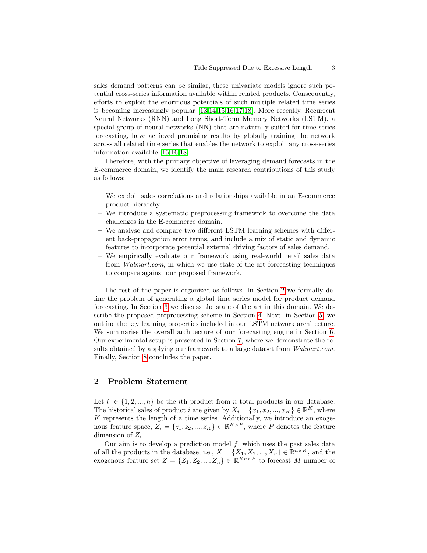sales demand patterns can be similar, these univariate models ignore such potential cross-series information available within related products. Consequently, efforts to exploit the enormous potentials of such multiple related time series is becoming increasingly popular [\[13,](#page-14-2)[14,](#page-14-3)[15](#page-14-4)[,16,](#page-14-5)[17,](#page-15-0)[18\]](#page-15-1). More recently, Recurrent Neural Networks (RNN) and Long Short-Term Memory Networks (LSTM), a special group of neural networks (NN) that are naturally suited for time series forecasting, have achieved promising results by globally training the network across all related time series that enables the network to exploit any cross-series information available [\[15](#page-14-4)[,16,](#page-14-5)[18\]](#page-15-1).

Therefore, with the primary objective of leveraging demand forecasts in the E-commerce domain, we identify the main research contributions of this study as follows:

- We exploit sales correlations and relationships available in an E-commerce product hierarchy.
- We introduce a systematic preprocessing framework to overcome the data challenges in the E-commerce domain.
- We analyse and compare two different LSTM learning schemes with different back-propagation error terms, and include a mix of static and dynamic features to incorporate potential external driving factors of sales demand.
- We empirically evaluate our framework using real-world retail sales data from Walmart.com, in which we use state-of-the-art forecasting techniques to compare against our proposed framework.

The rest of the paper is organized as follows. In Section [2](#page-2-0) we formally define the problem of generating a global time series model for product demand forecasting. In Section [3](#page-3-0) we discuss the state of the art in this domain. We describe the proposed preprocessing scheme in Section [4.](#page-4-0) Next, in Section [5,](#page-7-0) we outline the key learning properties included in our LSTM network architecture. We summarise the overall architecture of our forecasting engine in Section [6.](#page-9-0) Our experimental setup is presented in Section [7,](#page-9-1) where we demonstrate the results obtained by applying our framework to a large dataset from Walmart.com. Finally, Section [8](#page-13-0) concludes the paper.

## <span id="page-2-0"></span>2 Problem Statement

Let  $i \in \{1, 2, ..., n\}$  be the *i*th product from *n* total products in our database. The historical sales of product i are given by  $X_i = \{x_1, x_2, ..., x_K\} \in \mathbb{R}^K$ , where K represents the length of a time series. Additionally, we introduce an exogenous feature space,  $Z_i = \{z_1, z_2, ..., z_K\} \in \mathbb{R}^{K \times P}$ , where P denotes the feature dimension of  $Z_i$ .

Our aim is to develop a prediction model  $f$ , which uses the past sales data of all the products in the database, i.e.,  $X = \{X_1, X_2, ..., X_n\} \in \mathbb{R}^{n \times K}$ , and the exogenous feature set  $Z = \{Z_1, Z_2, ..., Z_n\} \in \mathbb{R}^{Kn \times P}$  to forecast M number of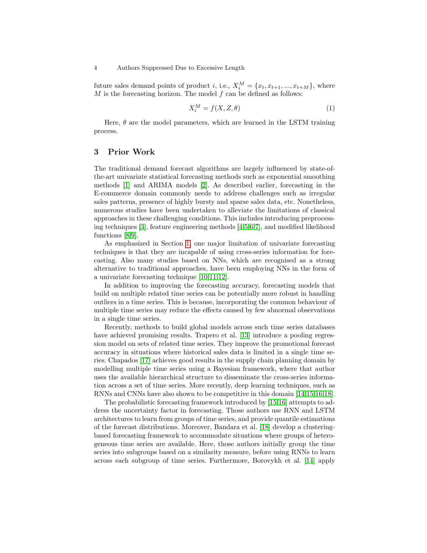future sales demand points of product *i*, i.e.,  $X_i^M = \{x_t, x_{t+1}, ..., x_{t+M}\}$ , where  $M$  is the forecasting horizon. The model  $f$  can be defined as follows:

$$
X_i^M = f(X, Z, \theta)
$$
 (1)

Here,  $\theta$  are the model parameters, which are learned in the LSTM training process.

## <span id="page-3-0"></span>3 Prior Work

The traditional demand forecast algorithms are largely influenced by state-ofthe-art univariate statistical forecasting methods such as exponential smoothing methods [\[1\]](#page-14-0) and ARIMA models [\[2\]](#page-14-1). As described earlier, forecasting in the E-commerce domain commonly needs to address challenges such as irregular sales patterns, presence of highly bursty and sparse sales data, etc. Nonetheless, numerous studies have been undertaken to alleviate the limitations of classical approaches in these challenging conditions. This includes introducing preprocessing techniques [\[3\]](#page-14-6), feature engineering methods [\[4,](#page-14-7)[5,](#page-14-8)[6,](#page-14-9)[7\]](#page-14-10), and modified likelihood functions [\[8](#page-14-11)[,9\]](#page-14-12).

As emphasized in Section [1,](#page-0-0) one major limitation of univariate forecasting techniques is that they are incapable of using cross-series information for forecasting. Also many studies based on NNs, which are recognised as a strong alternative to traditional approaches, have been employing NNs in the form of a univariate forecasting technique [\[10,](#page-14-13)[11](#page-14-14)[,12\]](#page-14-15).

In addition to improving the forecasting accuracy, forecasting models that build on multiple related time series can be potentially more robust in handling outliers in a time series. This is because, incorporating the common behaviour of multiple time series may reduce the effects caused by few abnormal observations in a single time series.

Recently, methods to build global models across such time series databases have achieved promising results. Trapero et al. [\[13\]](#page-14-2) introduce a pooling regression model on sets of related time series. They improve the promotional forecast accuracy in situations where historical sales data is limited in a single time series. Chapados [\[17\]](#page-15-0) achieves good results in the supply chain planning domain by modelling multiple time series using a Bayesian framework, where that author uses the available hierarchical structure to disseminate the cross-series information across a set of time series. More recently, deep learning techniques, such as RNNs and CNNs have also shown to be competitive in this domain [\[14,](#page-14-3)[15,](#page-14-4)[16,](#page-14-5)[18\]](#page-15-1).

The probabilistic forecasting framework introduced by [\[15,](#page-14-4)[16\]](#page-14-5) attempts to address the uncertainty factor in forecasting. Those authors use RNN and LSTM architectures to learn from groups of time series, and provide quantile estimations of the forecast distributions. Moreover, Bandara et al. [\[18\]](#page-15-1) develop a clusteringbased forecasting framework to accommodate situations where groups of heterogeneous time series are available. Here, those authors initially group the time series into subgroups based on a similarity measure, before using RNNs to learn across each subgroup of time series. Furthermore, Borovykh et al. [\[14\]](#page-14-3) apply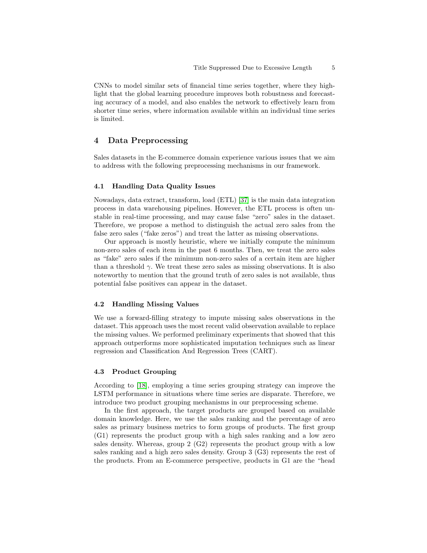CNNs to model similar sets of financial time series together, where they highlight that the global learning procedure improves both robustness and forecasting accuracy of a model, and also enables the network to effectively learn from shorter time series, where information available within an individual time series is limited.

# <span id="page-4-0"></span>4 Data Preprocessing

Sales datasets in the E-commerce domain experience various issues that we aim to address with the following preprocessing mechanisms in our framework.

## 4.1 Handling Data Quality Issues

Nowadays, data extract, transform, load (ETL) [\[37\]](#page-15-2) is the main data integration process in data warehousing pipelines. However, the ETL process is often unstable in real-time processing, and may cause false "zero" sales in the dataset. Therefore, we propose a method to distinguish the actual zero sales from the false zero sales ("fake zeros") and treat the latter as missing observations.

Our approach is mostly heuristic, where we initially compute the minimum non-zero sales of each item in the past 6 months. Then, we treat the zero sales as "fake" zero sales if the minimum non-zero sales of a certain item are higher than a threshold  $\gamma$ . We treat these zero sales as missing observations. It is also noteworthy to mention that the ground truth of zero sales is not available, thus potential false positives can appear in the dataset.

### 4.2 Handling Missing Values

We use a forward-filling strategy to impute missing sales observations in the dataset. This approach uses the most recent valid observation available to replace the missing values. We performed preliminary experiments that showed that this approach outperforms more sophisticated imputation techniques such as linear regression and Classification And Regression Trees (CART).

## <span id="page-4-1"></span>4.3 Product Grouping

According to [\[18\]](#page-15-1), employing a time series grouping strategy can improve the LSTM performance in situations where time series are disparate. Therefore, we introduce two product grouping mechanisms in our preprocessing scheme.

In the first approach, the target products are grouped based on available domain knowledge. Here, we use the sales ranking and the percentage of zero sales as primary business metrics to form groups of products. The first group (G1) represents the product group with a high sales ranking and a low zero sales density. Whereas, group  $2(G2)$  represents the product group with a low sales ranking and a high zero sales density. Group 3 (G3) represents the rest of the products. From an E-commerce perspective, products in G1 are the "head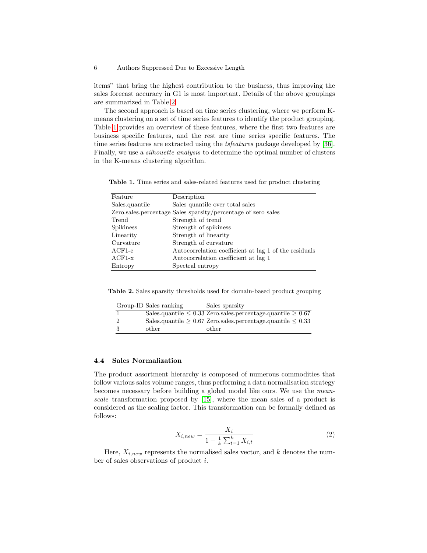items" that bring the highest contribution to the business, thus improving the sales forecast accuracy in G1 is most important. Details of the above groupings are summarized in Table [2.](#page-5-0)

The second approach is based on time series clustering, where we perform Kmeans clustering on a set of time series features to identify the product grouping. Table [1](#page-5-1) provides an overview of these features, where the first two features are business specific features, and the rest are time series specific features. The time series features are extracted using the tsfeatures package developed by [\[36\]](#page-15-3). Finally, we use a *silhouette analysis* to determine the optimal number of clusters in the K-means clustering algorithm.

<span id="page-5-1"></span>Table 1. Time series and sales-related features used for product clustering

| Feature          | Description                                                   |
|------------------|---------------------------------------------------------------|
| Sales.quantile   | Sales quantile over total sales                               |
|                  | Zero.sales.percentage Sales sparsity/percentage of zero sales |
| Trend            | Strength of trend                                             |
| <b>Spikiness</b> | Strength of spikiness                                         |
| Linearity        | Strength of linearity                                         |
| Curvature        | Strength of curvature                                         |
| $ACF1-e$         | Autocorrelation coefficient at lag 1 of the residuals         |
| $ACF1-x$         | Autocorrelation coefficient at lag 1                          |
| Entropy          | Spectral entropy                                              |

Table 2. Sales sparsity thresholds used for domain-based product grouping

<span id="page-5-0"></span>

| Group-ID Sales ranking | Sales sparsity                                                        |
|------------------------|-----------------------------------------------------------------------|
|                        | Sales.quantile $\leq 0.33$ Zero.sales.percentage.quantile $\geq 0.67$ |
|                        | Sales.quantile $> 0.67$ Zero.sales.percentage.quantile $< 0.33$       |
| other                  | other                                                                 |

## 4.4 Sales Normalization

The product assortment hierarchy is composed of numerous commodities that follow various sales volume ranges, thus performing a data normalisation strategy becomes necessary before building a global model like ours. We use the meanscale transformation proposed by [\[15\]](#page-14-4), where the mean sales of a product is considered as the scaling factor. This transformation can be formally defined as follows:

$$
X_{i,new} = \frac{X_i}{1 + \frac{1}{k} \sum_{t=1}^k X_{i,t}} \tag{2}
$$

Here,  $X_{i,new}$  represents the normalised sales vector, and k denotes the number of sales observations of product i.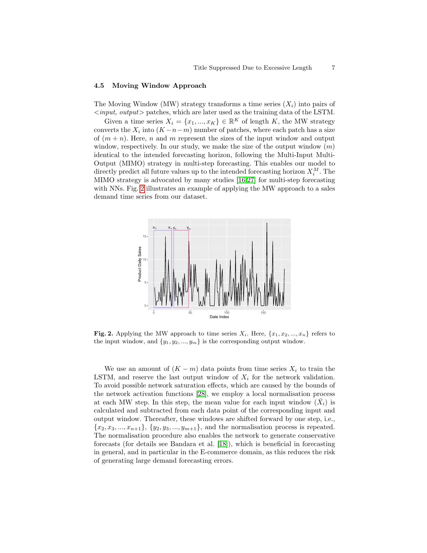#### <span id="page-6-1"></span>4.5 Moving Window Approach

The Moving Window (MW) strategy transforms a time series  $(X_i)$  into pairs of  $\langle$ *input, output* $>$  patches, which are later used as the training data of the LSTM.

Given a time series  $X_i = \{x_1, ..., x_K\} \in \mathbb{R}^K$  of length K, the MW strategy converts the  $X_i$  into  $(K - n - m)$  number of patches, where each patch has a size of  $(m + n)$ . Here, n and m represent the sizes of the input window and output window, respectively. In our study, we make the size of the output window  $(m)$ identical to the intended forecasting horizon, following the Multi-Input Multi-Output (MIMO) strategy in multi-step forecasting. This enables our model to directly predict all future values up to the intended forecasting horizon  $X_i^M$ . The MIMO strategy is advocated by many studies [\[16,](#page-14-5)[27\]](#page-15-4) for multi-step forecasting with NNs. Fig. [2](#page-6-0) illustrates an example of applying the MW approach to a sales demand time series from our dataset.



<span id="page-6-0"></span>Fig. 2. Applying the MW approach to time series  $X_i$ . Here,  $\{x_1, x_2, ..., x_n\}$  refers to the input window, and  $\{y_1, y_2, ..., y_m\}$  is the corresponding output window.

We use an amount of  $(K - m)$  data points from time series  $X_i$  to train the LSTM, and reserve the last output window of  $X_i$  for the network validation. To avoid possible network saturation effects, which are caused by the bounds of the network activation functions [\[28\]](#page-15-5), we employ a local normalisation process at each MW step. In this step, the mean value for each input window  $(\bar{X}_i)$  is calculated and subtracted from each data point of the corresponding input and output window. Thereafter, these windows are shifted forward by one step, i.e.,  ${x_2, x_3, ..., x_{n+1}}, \{y_2, y_3, ..., y_{m+1}\},$  and the normalisation process is repeated. The normalisation procedure also enables the network to generate conservative forecasts (for details see Bandara et al. [\[18\]](#page-15-1)), which is beneficial in forecasting in general, and in particular in the E-commerce domain, as this reduces the risk of generating large demand forecasting errors.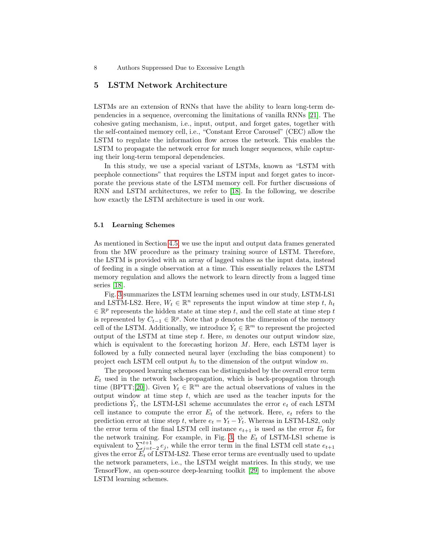# <span id="page-7-0"></span>5 LSTM Network Architecture

LSTMs are an extension of RNNs that have the ability to learn long-term dependencies in a sequence, overcoming the limitations of vanilla RNNs [\[21\]](#page-15-6). The cohesive gating mechanism, i.e., input, output, and forget gates, together with the self-contained memory cell, i.e., "Constant Error Carousel" (CEC) allow the LSTM to regulate the information flow across the network. This enables the LSTM to propagate the network error for much longer sequences, while capturing their long-term temporal dependencies.

In this study, we use a special variant of LSTMs, known as "LSTM with peephole connections" that requires the LSTM input and forget gates to incorporate the previous state of the LSTM memory cell. For further discussions of RNN and LSTM architectures, we refer to [\[18\]](#page-15-1). In the following, we describe how exactly the LSTM architecture is used in our work.

### 5.1 Learning Schemes

As mentioned in Section [4.5,](#page-6-1) we use the input and output data frames generated from the MW procedure as the primary training source of LSTM. Therefore, the LSTM is provided with an array of lagged values as the input data, instead of feeding in a single observation at a time. This essentially relaxes the LSTM memory regulation and allows the network to learn directly from a lagged time series [\[18\]](#page-15-1).

Fig. [3](#page-8-0) summarizes the LSTM learning schemes used in our study, LSTM-LS1 and LSTM-LS2. Here,  $W_t \in \mathbb{R}^n$  represents the input window at time step t,  $h_t$  $\in \mathbb{R}^p$  represents the hidden state at time step t, and the cell state at time step t is represented by  $C_{t-1} \in \mathbb{R}^p$ . Note that p denotes the dimension of the memory cell of the LSTM. Additionally, we introduce  $\hat{Y}_t \in \mathbb{R}^m$  to represent the projected output of the LSTM at time step  $t$ . Here,  $m$  denotes our output window size, which is equivalent to the forecasting horizon  $M$ . Here, each LSTM layer is followed by a fully connected neural layer (excluding the bias component) to project each LSTM cell output  $h_t$  to the dimension of the output window m.

The proposed learning schemes can be distinguished by the overall error term  $E_t$  used in the network back-propagation, which is back-propagation through time (BPTT;[\[20\]](#page-15-7)). Given  $Y_t \in \mathbb{R}^m$  are the actual observations of values in the output window at time step  $t$ , which are used as the teacher inputs for the predictions  $\hat{Y}_t$ , the LSTM-LS1 scheme accumulates the error  $e_t$  of each LSTM cell instance to compute the error  $E_t$  of the network. Here,  $e_t$  refers to the prediction error at time step t, where  $e_t = Y_t - \hat{Y}_t$ . Whereas in LSTM-LS2, only the error term of the final LSTM cell instance  $e_{t+1}$  is used as the error  $E_t$  for the network training. For example, in Fig. [3,](#page-8-0) the  $E_t$  of LSTM-LS1 scheme is equivalent to  $\sum_{j=t-2}^{t+1} e_j$ , while the error term in the final LSTM cell state  $e_{t+1}$ gives the error  $\vec{E_t}$  of LSTM-LS2. These error terms are eventually used to update the network parameters, i.e., the LSTM weight matrices. In this study, we use TensorFlow, an open-source deep-learning toolkit [\[29\]](#page-15-8) to implement the above LSTM learning schemes.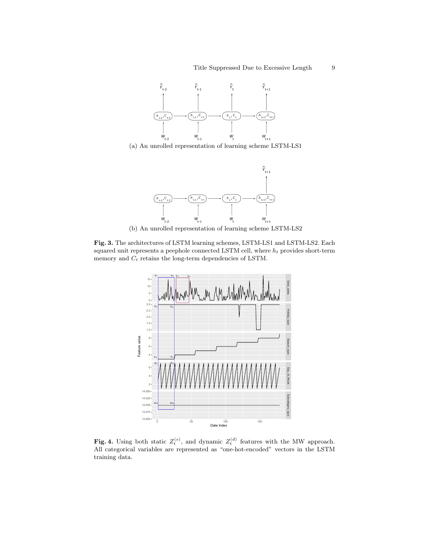



<span id="page-8-0"></span>

Fig. 3. The architectures of LSTM learning schemes, LSTM-LS1 and LSTM-LS2. Each squared unit represents a peephole connected LSTM cell, where  $h_t$  provides short-term memory and  $C_t$  retains the long-term dependencies of LSTM.



<span id="page-8-1"></span>**Fig. 4.** Using both static  $Z_t^{(s)}$ , and dynamic  $Z_t^{(d)}$  features with the MW approach. All categorical variables are represented as "one-hot-encoded" vectors in the LSTM training data.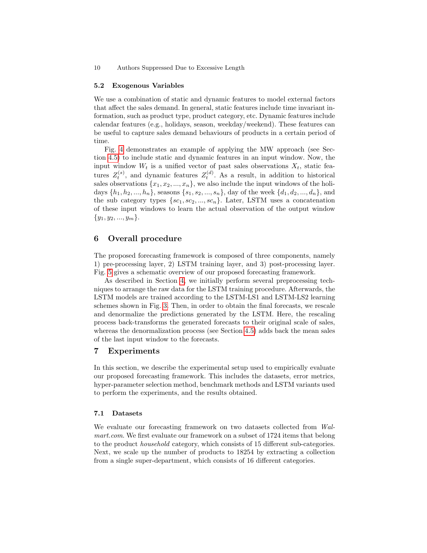#### 5.2 Exogenous Variables

We use a combination of static and dynamic features to model external factors that affect the sales demand. In general, static features include time invariant information, such as product type, product category, etc. Dynamic features include calendar features (e.g., holidays, season, weekday/weekend). These features can be useful to capture sales demand behaviours of products in a certain period of time.

Fig. [4](#page-8-1) demonstrates an example of applying the MW approach (see Section [4.5\)](#page-6-1) to include static and dynamic features in an input window. Now, the input window  $W_t$  is a unified vector of past sales observations  $X_t$ , static features  $Z_t^{(s)}$ , and dynamic features  $Z_t^{(d)}$ . As a result, in addition to historical sales observations  $\{x_1, x_2, ..., x_n\}$ , we also include the input windows of the holidays  $\{h_1, h_2, ..., h_n\}$ , seasons  $\{s_1, s_2, ..., s_n\}$ , day of the week  $\{d_1, d_2, ..., d_n\}$ , and the sub category types  $\{sc_1, sc_2, ..., sc_n\}$ . Later, LSTM uses a concatenation of these input windows to learn the actual observation of the output window  ${y_1, y_2, ..., y_m}.$ 

# <span id="page-9-0"></span>6 Overall procedure

The proposed forecasting framework is composed of three components, namely 1) pre-processing layer, 2) LSTM training layer, and 3) post-processing layer. Fig. [5](#page-10-0) gives a schematic overview of our proposed forecasting framework.

As described in Section [4,](#page-4-0) we initially perform several preprocessing techniques to arrange the raw data for the LSTM training procedure. Afterwards, the LSTM models are trained according to the LSTM-LS1 and LSTM-LS2 learning schemes shown in Fig. [3.](#page-8-0) Then, in order to obtain the final forecasts, we rescale and denormalize the predictions generated by the LSTM. Here, the rescaling process back-transforms the generated forecasts to their original scale of sales, whereas the denormalization process (see Section [4.5\)](#page-6-1) adds back the mean sales of the last input window to the forecasts.

## <span id="page-9-1"></span>7 Experiments

In this section, we describe the experimental setup used to empirically evaluate our proposed forecasting framework. This includes the datasets, error metrics, hyper-parameter selection method, benchmark methods and LSTM variants used to perform the experiments, and the results obtained.

## 7.1 Datasets

We evaluate our forecasting framework on two datasets collected from Walmart.com. We first evaluate our framework on a subset of 1724 items that belong to the product household category, which consists of 15 different sub-categories. Next, we scale up the number of products to 18254 by extracting a collection from a single super-department, which consists of 16 different categories.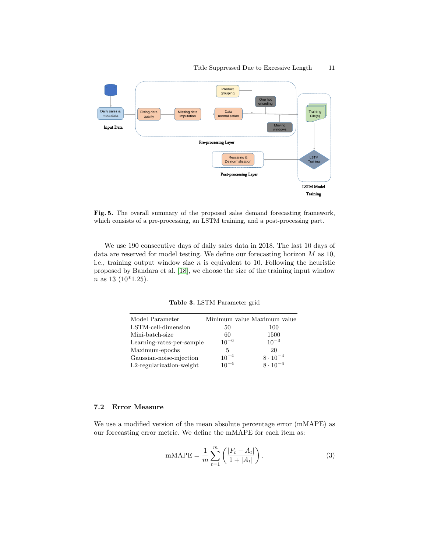

<span id="page-10-0"></span>Fig. 5. The overall summary of the proposed sales demand forecasting framework, which consists of a pre-processing, an LSTM training, and a post-processing part.

We use 190 consecutive days of daily sales data in 2018. The last 10 days of data are reserved for model testing. We define our forecasting horizon  $M$  as 10, i.e., training output window size  $n$  is equivalent to 10. Following the heuristic proposed by Bandara et al. [\[18\]](#page-15-1), we choose the size of the training input window  $n$  as 13 (10\*1.25).

<span id="page-10-2"></span>Table 3. LSTM Parameter grid

| Model Parameter           |           | Minimum value Maximum value |
|---------------------------|-----------|-----------------------------|
| $LSTM$ -cell-dimension    | 50        | 100                         |
| Mini-batch-size           | 60        | 1500                        |
| Learning-rates-per-sample | $10^{-6}$ | $10^{-3}$                   |
| Maximum-epochs            | 5         | 20                          |
| Gaussian-noise-injection  | $10^{-4}$ | $8 \cdot 10^{-4}$           |
| L2-regularization-weight  | $10^{-4}$ | $8 \cdot 10^{-4}$           |

## 7.2 Error Measure

We use a modified version of the mean absolute percentage error (mMAPE) as our forecasting error metric. We define the mMAPE for each item as:

<span id="page-10-1"></span>
$$
mMAPE = \frac{1}{m} \sum_{t=1}^{m} \left( \frac{|F_t - A_t|}{1 + |A_t|} \right).
$$
 (3)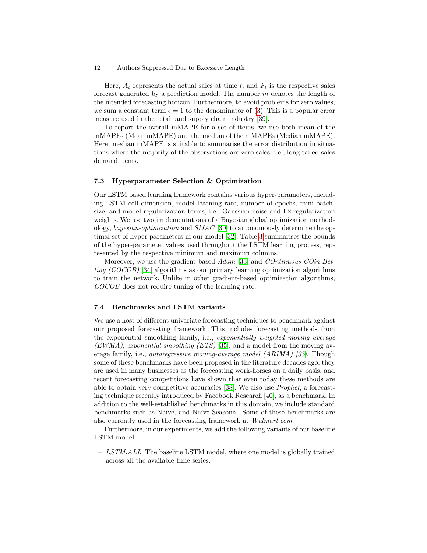Here,  $A_t$  represents the actual sales at time t, and  $F_t$  is the respective sales forecast generated by a prediction model. The number  $m$  denotes the length of the intended forecasting horizon. Furthermore, to avoid problems for zero values, we sum a constant term  $\epsilon = 1$  to the denominator of [\(3\)](#page-10-1). This is a popular error measure used in the retail and supply chain industry [\[39\]](#page-15-9).

To report the overall mMAPE for a set of items, we use both mean of the mMAPEs (Mean mMAPE) and the median of the mMAPEs (Median mMAPE). Here, median mMAPE is suitable to summarise the error distribution in situations where the majority of the observations are zero sales, i.e., long tailed sales demand items.

## 7.3 Hyperparameter Selection & Optimization

Our LSTM based learning framework contains various hyper-parameters, including LSTM cell dimension, model learning rate, number of epochs, mini-batchsize, and model regularization terms, i.e., Gaussian-noise and L2-regularization weights. We use two implementations of a Bayesian global optimization methodology, bayesian-optimization and SMAC [\[30\]](#page-15-10) to autonomously determine the optimal set of hyper-parameters in our model [\[32\]](#page-15-11). Table [3](#page-10-2) summarises the bounds of the hyper-parameter values used throughout the LSTM learning process, represented by the respective minimum and maximum columns.

Moreover, we use the gradient-based Adam [\[33\]](#page-15-12) and COntinuous COin Betting (COCOB) [\[34\]](#page-15-13) algorithms as our primary learning optimization algorithms to train the network. Unlike in other gradient-based optimization algorithms, COCOB does not require tuning of the learning rate.

## 7.4 Benchmarks and LSTM variants

We use a host of different univariate forecasting techniques to benchmark against our proposed forecasting framework. This includes forecasting methods from the exponential smoothing family, i.e., exponentially weighted moving average  $(EWMA)$ , exponential smoothing  $(ETS)$  [\[35\]](#page-15-14), and a model from the moving average family, i.e., *autoregressive moving-average model (ARIMA) [\[35\]](#page-15-14)*. Though some of these benchmarks have been proposed in the literature decades ago, they are used in many businesses as the forecasting work-horses on a daily basis, and recent forecasting competitions have shown that even today these methods are able to obtain very competitive accuracies [\[38\]](#page-15-15). We also use Prophet, a forecasting technique recently introduced by Facebook Research [\[40\]](#page-15-16), as a benchmark. In addition to the well-established benchmarks in this domain, we include standard benchmarks such as Na¨ıve, and Na¨ıve Seasonal. Some of these benchmarks are also currently used in the forecasting framework at Walmart.com.

Furthermore, in our experiments, we add the following variants of our baseline LSTM model.

– LSTM.ALL: The baseline LSTM model, where one model is globally trained across all the available time series.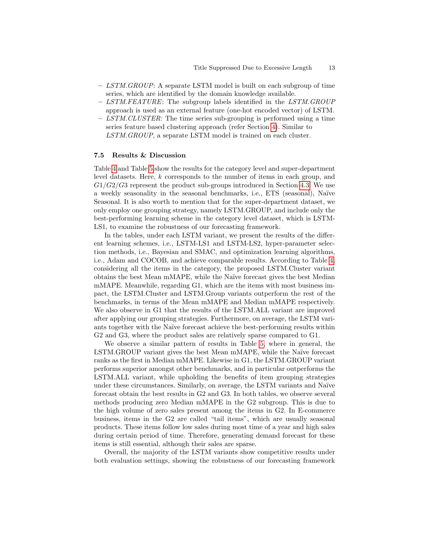- $-$  LSTM.GROUP: A separate LSTM model is built on each subgroup of time series, which are identified by the domain knowledge available.
- LSTM.FEATURE: The subgroup labels identified in the LSTM.GROUP approach is used as an external feature (one-hot encoded vector) of LSTM.
- LSTM.CLUSTER: The time series sub-grouping is performed using a time series feature based clustering approach (refer Section [4\)](#page-4-0). Similar to LSTM.GROUP, a separate LSTM model is trained on each cluster.

### 7.5 Results & Discussion

Table [4](#page-13-1) and Table [5](#page-13-2) show the results for the category level and super-department level datasets. Here, k corresponds to the number of items in each group, and  $G1/G2/G3$  represent the product sub-groups introduced in Section [4.3.](#page-4-1) We use a weekly seasonality in the seasonal benchmarks, i.e., ETS (seasonal), Naïve Seasonal. It is also worth to mention that for the super-department dataset, we only employ one grouping strategy, namely LSTM.GROUP, and include only the best-performing learning scheme in the category level dataset, which is LSTM-LS1, to examine the robustness of our forecasting framework.

In the tables, under each LSTM variant, we present the results of the different learning schemes, i.e., LSTM-LS1 and LSTM-LS2, hyper-parameter selection methods, i.e., Bayesian and SMAC, and optimization learning algorithms, i.e., Adam and COCOB, and achieve comparable results. According to Table [4,](#page-13-1) considering all the items in the category, the proposed LSTM.Cluster variant obtains the best Mean mMAPE, while the Na¨ıve forecast gives the best Median mMAPE. Meanwhile, regarding G1, which are the items with most business impact, the LSTM.Cluster and LSTM.Group variants outperform the rest of the benchmarks, in terms of the Mean mMAPE and Median mMAPE respectively. We also observe in G1 that the results of the LSTM.ALL variant are improved after applying our grouping strategies. Furthermore, on average, the LSTM variants together with the Naïve forecast achieve the best-performing results within G2 and G3, where the product sales are relatively sparse compared to G1.

We observe a similar pattern of results in Table [5,](#page-13-2) where in general, the LSTM.GROUP variant gives the best Mean mMAPE, while the Naïve forecast ranks as the first in Median mMAPE. Likewise in G1, the LSTM.GROUP variant performs superior amongst other benchmarks, and in particular outperforms the LSTM.ALL variant, while upholding the benefits of item grouping strategies under these circumstances. Similarly, on average, the LSTM variants and Naïve forecast obtain the best results in G2 and G3. In both tables, we observe several methods producing zero Median mMAPE in the G2 subgroup. This is due to the high volume of zero sales present among the items in G2. In E-commerce business, items in the G2 are called "tail items", which are usually seasonal products. These items follow low sales during most time of a year and high sales during certain period of time. Therefore, generating demand forecast for these items is still essential, although their sales are sparse.

Overall, the majority of the LSTM variants show competitive results under both evaluation settings, showing the robustness of our forecasting framework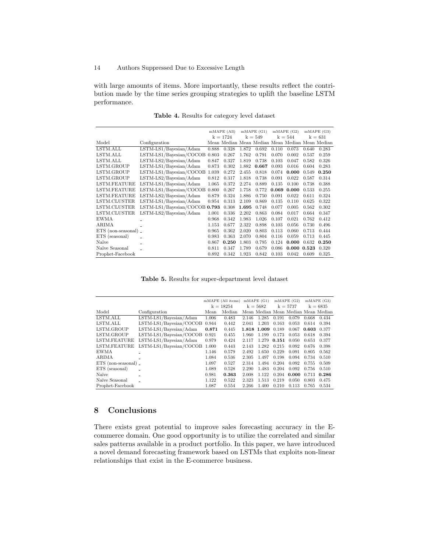with large amounts of items. More importantly, these results reflect the contribution made by the time series grouping strategies to uplift the baseline LSTM performance.

|                                               |                               | mMAPE (All) |                                                 | mMAPE(G1) |       | mMAPE(G2) |       | mMAPE(G3) |       |
|-----------------------------------------------|-------------------------------|-------------|-------------------------------------------------|-----------|-------|-----------|-------|-----------|-------|
|                                               |                               | $k = 1724$  |                                                 | $k = 549$ |       | $k = 544$ |       | $k = 631$ |       |
| Model                                         | Configuration                 |             | Mean Median Mean Median Mean Median Mean Median |           |       |           |       |           |       |
| LSTM.ALL                                      | LSTM-LS1/Bayesian/Adam        | 0.888       | 0.328                                           | 1.872     | 0.692 | 0.110     | 0.073 | 0.640     | 0.283 |
| LSTM.ALL                                      | LSTM-LS1/Bayesian/COCOB 0.803 |             | 0.267                                           | 1.762     | 0.791 | 0.070     | 0.002 | 0.537     | 0.259 |
| LSTM.ALL                                      | LSTM-LS2/Bayesian/Adam        | 0.847       | 0.327                                           | 1.819     | 0.738 | 0.103     | 0.047 | 0.582     | 0.326 |
| LSTM.GROUP                                    | LSTM-LS1/Bayesian/Adam        | 0.873       | 0.302                                           | 1.882     | 0.667 | 0.093     | 0.016 | 0.604     | 0.283 |
| LSTM.GROUP                                    | LSTM-LS1/Bayesian/COCOB 1.039 |             | 0.272                                           | 2.455     | 0.818 | 0.074     | 0.000 | 0.549     | 0.250 |
| LSTM.GROUP                                    | LSTM-LS2/Bayesian/Adam        | 0.812       | 0.317                                           | 1.818     | 0.738 | 0.091     | 0.022 | 0.587     | 0.314 |
| LSTM.FEATURE                                  | LSTM-LS1/Bayesian/Adam        | 1.065       | 0.372                                           | 2.274     | 0.889 | 0.135     | 0.100 | 0.738     | 0.388 |
| LSTM.FEATURE                                  | LSTM-LS1/Bayesian/COCOB 0.800 |             | 0.267                                           | 1.758     | 0.772 | 0.069     | 0.000 | 0.533     | 0.255 |
| LSTM.FEATURE                                  | LSTM-LS2/Bayesian/Adam        | 0.879       | 0.324                                           | 1.886     | 0.750 | 0.091     | 0.022 | 0.611     | 0.324 |
| LSTM.CLUSTER                                  | LSTM-LS1/Bayesian/Adam        | 0.954       | 0.313                                           | 2.109     | 0.869 | 0.135     | 0.110 | 0.625     | 0.322 |
| LSTM.CLUSTER                                  | LSTM-LS1/Bayesian/COCOB 0.793 |             | 0.308                                           | 1.695     | 0.748 | 0.077     | 0.005 | 0.562     | 0.302 |
| LSTM.CLUSTER                                  | LSTM-LS2/Bayesian/Adam        | 1.001       | 0.336                                           | 2.202     | 0.863 | 0.084     | 0.017 | 0.664     | 0.347 |
| <b>EWMA</b>                                   |                               | 0.968       | 0.342                                           | 1.983     | 1.026 | 0.107     | 0.021 | 0.762     | 0.412 |
| <b>ARIMA</b>                                  |                               | 1.153       | 0.677                                           | 2.322     | 0.898 | 0.103     | 0.056 | 0.730     | 0.496 |
| $ETS$ (non-seasonal) $\overline{\phantom{a}}$ |                               | 0.965       | 0.362                                           | 2.020     | 0.803 | 0.113     | 0.060 | 0.713     | 0.444 |
| ETS (seasonal)                                |                               | 0.983       | 0.363                                           | 2.070     | 0.804 | 0.116     | 0.059 | 0.713     | 0.445 |
| Naïve                                         |                               | 0.867       | 0.250                                           | 1.803     | 0.795 | 0.124     | 0.000 | 0.632     | 0.250 |
| Naïve Seasonal                                |                               | 0.811       | 0.347                                           | 1.789     | 0.679 | 0.086     | 0.000 | 0.523     | 0.320 |
| Prophet-Facebook                              |                               | 0.892       | 0.342                                           | 1.923     | 0.842 | 0.103     | 0.042 | 0.609     | 0.325 |

<span id="page-13-1"></span>Table 4. Results for category level dataset

<span id="page-13-2"></span>Table 5. Results for super-department level dataset

|                                |                         | mMAPE (All items) |        | mMAPE(G1)  |       | mMAPE(G2)  |                                     | mMAPE(G3)  |       |
|--------------------------------|-------------------------|-------------------|--------|------------|-------|------------|-------------------------------------|------------|-------|
|                                |                         | $k = 18254$       |        | $k = 5682$ |       | $k = 5737$ |                                     | $k = 6835$ |       |
| Model                          | Configuration           | Mean              | Median |            |       |            | Mean Median Mean Median Mean Median |            |       |
| LSTM.ALL                       | LSTM-LS1/Bayesian/Adam  | 1.006             | 0.483  | 2.146      | 1.285 | 0.191      | 0.079                               | 0.668      | 0.434 |
| LSTM.ALL                       | LSTM-LS1/Bayesian/COCOB | 0.944             | 0.442  | 2.041      | 1.203 | 0.163      | 0.053                               | 0.614      | 0.394 |
| LSTM.GROUP                     | LSTM-LS1/Bayesian/Adam  | 0.871             | 0.445  | 1.818      | 1.009 | 0.189      | 0.067                               | 0.603      | 0.377 |
| LSTM.GROUP                     | LSTM-LS1/Bayesian/COCOB | 0.921             | 0.455  | 1.960      | 1.199 | 0.173      | 0.053                               | 0.618      | 0.394 |
| LSTM.FEATURE                   | LSTM-LS1/Bayesian/Adam  | 0.979             | 0.424  | 2.117      | 1.279 | 0.151      | 0.050                               | 0.653      | 0.377 |
| LSTM.FEATURE                   | LSTM-LS1/Bayesian/COCOB | 1.000             | 0.443  | 2.143      | 1.282 | 0.215      | 0.092                               | 0.676      | 0.398 |
| <b>EWMA</b>                    |                         | 1.146             | 0.579  | 2.492      | 1.650 | 0.229      | 0.091                               | 0.805      | 0.562 |
| <b>ARIMA</b>                   |                         | 1.084             | 0.536  | 2.305      | 1.497 | 0.198      | 0.094                               | 0.734      | 0.510 |
| $ETS$ (non-seasonal) $\square$ |                         | 1.097             | 0.527  | 2.314      | 1.494 | 0.204      | 0.092                               | 0.755      | 0.509 |
| ETS (seasonal)                 |                         | 1.089             | 0.528  | 2.290      | 1.483 | 0.204      | 0.092                               | 0.756      | 0.510 |
| Naïve                          |                         | 0.981             | 0.363  | 2.008      | 1.122 | 0.204      | 0.000                               | 0.713      | 0.286 |
| Naïve Seasonal                 |                         | 1.122             | 0.522  | 2.323      | 1.513 | 0.219      | 0.050                               | 0.803      | 0.475 |
| Prophet-Facebook               |                         | 1.087             | 0.554  | 2.266      | 1.400 | 0.210      | 0.113                               | 0.765      | 0.534 |

# <span id="page-13-0"></span>8 Conclusions

There exists great potential to improve sales forecasting accuracy in the Ecommerce domain. One good opportunity is to utilize the correlated and similar sales patterns available in a product portfolio. In this paper, we have introduced a novel demand forecasting framework based on LSTMs that exploits non-linear relationships that exist in the E-commerce business.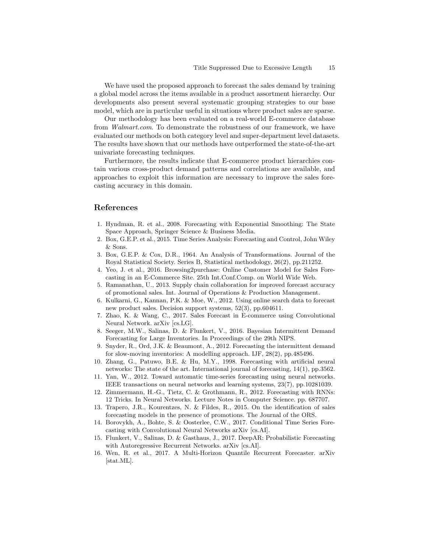We have used the proposed approach to forecast the sales demand by training a global model across the items available in a product assortment hierarchy. Our developments also present several systematic grouping strategies to our base model, which are in particular useful in situations where product sales are sparse.

Our methodology has been evaluated on a real-world E-commerce database from Walmart.com. To demonstrate the robustness of our framework, we have evaluated our methods on both category level and super-department level datasets. The results have shown that our methods have outperformed the state-of-the-art univariate forecasting techniques.

Furthermore, the results indicate that E-commerce product hierarchies contain various cross-product demand patterns and correlations are available, and approaches to exploit this information are necessary to improve the sales forecasting accuracy in this domain.

# References

- <span id="page-14-0"></span>1. Hyndman, R. et al., 2008. Forecasting with Exponential Smoothing: The State Space Approach, Springer Science & Business Media.
- <span id="page-14-1"></span>2. Box, G.E.P. et al., 2015. Time Series Analysis: Forecasting and Control, John Wiley & Sons.
- <span id="page-14-6"></span>3. Box, G.E.P. & Cox, D.R., 1964. An Analysis of Transformations. Journal of the Royal Statistical Society. Series B, Statistical methodology, 26(2), pp.211252.
- <span id="page-14-7"></span>4. Yeo, J. et al., 2016. Browsing2purchase: Online Customer Model for Sales Forecasting in an E-Commerce Site. 25th Int.Conf.Comp. on World Wide Web.
- <span id="page-14-8"></span>5. Ramanathan, U., 2013. Supply chain collaboration for improved forecast accuracy of promotional sales. Int. Journal of Operations & Production Management.
- <span id="page-14-9"></span>6. Kulkarni, G., Kannan, P.K. & Moe, W., 2012. Using online search data to forecast new product sales. Decision support systems, 52(3), pp.604611.
- <span id="page-14-10"></span>7. Zhao, K. & Wang, C., 2017. Sales Forecast in E-commerce using Convolutional Neural Network. arXiv [cs.LG].
- <span id="page-14-11"></span>8. Seeger, M.W., Salinas, D. & Flunkert, V., 2016. Bayesian Intermittent Demand Forecasting for Large Inventories. In Proceedings of the 29th NIPS.
- <span id="page-14-12"></span>9. Snyder, R., Ord, J.K. & Beaumont, A., 2012. Forecasting the intermittent demand for slow-moving inventories: A modelling approach. IJF, 28(2), pp.485496.
- <span id="page-14-13"></span>10. Zhang, G., Patuwo, B.E. & Hu, M.Y., 1998. Forecasting with artificial neural networks: The state of the art. International journal of forecasting, 14(1), pp.3562.
- <span id="page-14-14"></span>11. Yan, W., 2012. Toward automatic time-series forecasting using neural networks. IEEE transactions on neural networks and learning systems, 23(7), pp.10281039.
- <span id="page-14-15"></span>12. Zimmermann, H.-G., Tietz, C. & Grothmann, R., 2012. Forecasting with RNNs: 12 Tricks. In Neural Networks. Lecture Notes in Computer Science. pp. 687707.
- <span id="page-14-2"></span>13. Trapero, J.R., Kourentzes, N. & Fildes, R., 2015. On the identification of sales forecasting models in the presence of promotions. The Journal of the ORS.
- <span id="page-14-3"></span>14. Borovykh, A., Bohte, S. & Oosterlee, C.W., 2017. Conditional Time Series Forecasting with Convolutional Neural Networks arXiv [cs.AI].
- <span id="page-14-4"></span>15. Flunkert, V., Salinas, D. & Gasthaus, J., 2017. DeepAR: Probabilistic Forecasting with Autoregressive Recurrent Networks. arXiv [cs.AI].
- <span id="page-14-5"></span>16. Wen, R. et al., 2017. A Multi-Horizon Quantile Recurrent Forecaster. arXiv [stat.ML].